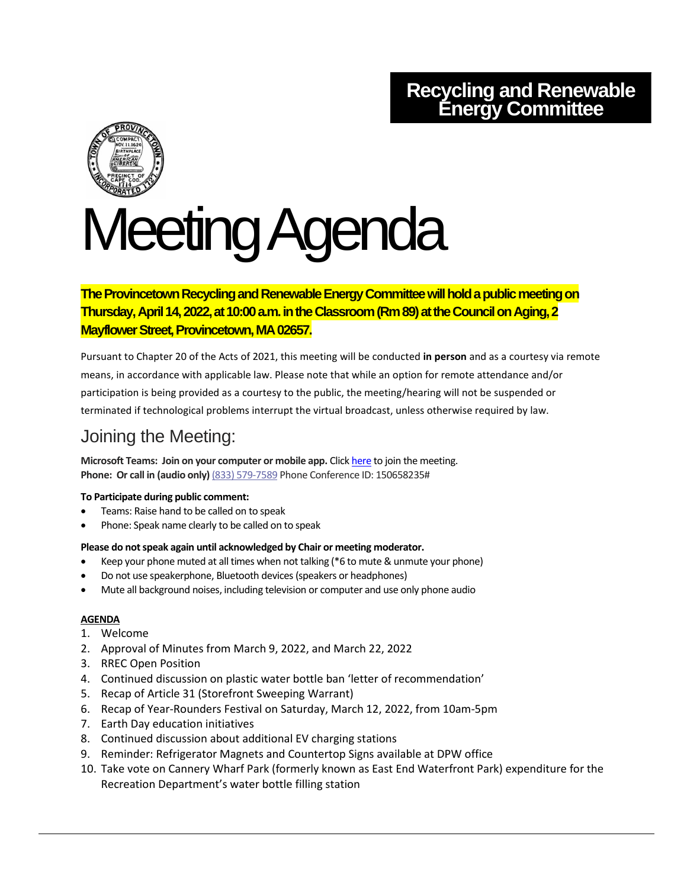## **Recycling and Renewable Energy Committee**



# Meeting Agenda

## **The Provincetown Recycling and Renewable Energy Committee will hold a public meeting on Thursday, April 14, 2022, at 10:00 a.m. in the Classroom (Rm 89) at the Council on Aging, 2 Mayflower Street, Provincetown, MA 02657.**

Pursuant to Chapter 20 of the Acts of 2021, this meeting will be conducted **in person** and as a courtesy via remote means, in accordance with applicable law. Please note that while an option for remote attendance and/or participation is being provided as a courtesy to the public, the meeting/hearing will not be suspended or terminated if technological problems interrupt the virtual broadcast, unless otherwise required by law.

## Joining the Meeting:

**Microsoft Teams: Join on your computer or mobile app.** Click [here](https://teams.microsoft.com/l/meetup-join/19%3ameeting_YzEwZDQ0ZDQtMmZiYi00MjBjLThjZDUtMzNhZTJmN2I3ZTY0%40thread.v2/0?context=%7b%22Tid%22%3a%2230f187df-7305-4983-9525-e34ebdedad6e%22%2c%22Oid%22%3a%2278a7c3c6-3b77-467f-bdd3-164f25fa393a%22%7d) to join the meeting. **Phone: Or call in (audio only)** (833) 579-7589 Phone Conference ID: 150658235#

#### **To Participate during public comment:**

- Teams: Raise hand to be called on to speak
- Phone: Speak name clearly to be called on to speak

#### **Please do not speak again until acknowledged by Chair or meeting moderator.**

- Keep your phone muted at all times when not talking (\*6 to mute & unmute your phone)
- Do not use speakerphone, Bluetooth devices (speakers or headphones)
- Mute all background noises, including television or computer and use only phone audio

### **AGENDA**

- 1. Welcome
- 2. Approval of Minutes from March 9, 2022, and March 22, 2022
- 3. RREC Open Position
- 4. Continued discussion on plastic water bottle ban 'letter of recommendation'
- 5. Recap of Article 31 (Storefront Sweeping Warrant)
- 6. Recap of Year-Rounders Festival on Saturday, March 12, 2022, from 10am-5pm
- 7. Earth Day education initiatives
- 8. Continued discussion about additional EV charging stations
- 9. Reminder: Refrigerator Magnets and Countertop Signs available at DPW office
- 10. Take vote on Cannery Wharf Park (formerly known as East End Waterfront Park) expenditure for the Recreation Department's water bottle filling station